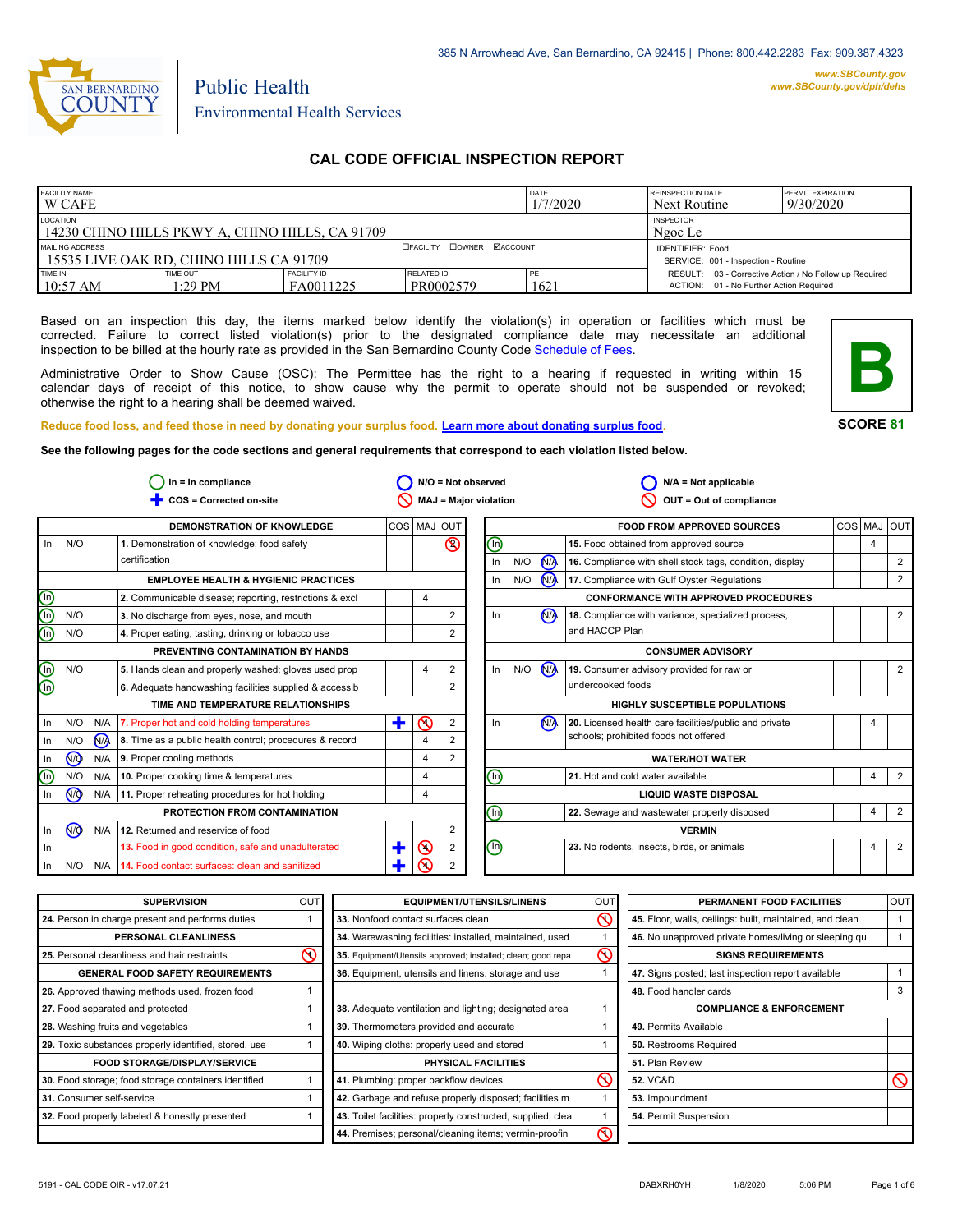

# Public Health Environmental Health Services

## **CAL CODE OFFICIAL INSPECTION REPORT**

| <b>FACILITY NAME</b><br><b>DATE</b><br>1/7/2020<br>I W CAFE                                              |                     |                                 |                         |      | <b>REINSPECTION DATE</b><br>Next Routine                                                          | <b>PERMIT EXPIRATION</b><br>9/30/2020 |
|----------------------------------------------------------------------------------------------------------|---------------------|---------------------------------|-------------------------|------|---------------------------------------------------------------------------------------------------|---------------------------------------|
| LOCATION<br>14230 CHINO HILLS PKWY A. CHINO HILLS. CA 91709                                              |                     | <b>INSPECTOR</b><br>Ngoc Le     |                         |      |                                                                                                   |                                       |
| <b>DOWNER MACCOUNT</b><br>MAILING ADDRESS<br><b>EFACILITY</b><br>15535 LIVE OAK RD, CHINO HILLS CA 91709 |                     |                                 |                         |      | <b>IDENTIFIER: Food</b><br>SERVICE: 001 - Inspection - Routine                                    |                                       |
| TIME IN<br>10:57 AM                                                                                      | TIME OUT<br>1:29 PM | <b>FACILITY ID</b><br>FA0011225 | RELATED ID<br>PR0002579 | 1621 | RESULT: 03 - Corrective Action / No Follow up Required<br>ACTION: 01 - No Further Action Required |                                       |

Based on an inspection this day, the items marked below identify the violation(s) in operation or facilities which must be corrected. Failure to correct listed violation(s) prior to the designated compliance date may necessitate an additional inspection to be billed at the hourly rate as provided in the San Bernardino County Code Schedule [of Fees.](http://www.amlegal.com/nxt/gateway.dll/California/sanbernardinocounty_ca/title1governmentandadministration/division6countyfees/chapter2scheduleoffees?f=templates$fn=default.htm$3.0$vid=amlegal:sanbernardinocounty_ca$anc=JD_16.0213B)

Administrative Order to Show Cause (OSC): The Permittee has the right to a hearing if requested in writing within 15 calendar days of receipt of this notice, to show cause why the permit to operate should not be suspended or revoked; otherwise the right to a hearing shall be deemed waived.



#### **SCORE 81**

**Reduce food loss, and feed those in need by donating your surplus food. Learn mor[e about donating surplus food.](http://wp.sbcounty.gov/dph/programs/ehs/food-facilities/) See the following pages for the code sections and general requirements that correspond to each violation listed below.**

**COS = Corrected on-site MAJ = Major violation** Ë **OUT = Out of compliance In = In compliance N/A = Not observed N/A = Not applicable**  $\bigcirc$  In = In compliance  $\bigcirc$  N/O = Not observed  $\circ$  $\circ$ 2  $\overline{\mathsf{O}}$  $\overline{\mathcal{O}}$  $\bigcirc$ In  $N/O$   $N/A$ In **N/O** N/A In <u>N/O</u> N/A In  $\frac{1}{2}$  N/A  $\circledS$ **DEMONSTRATION OF KNOWLEDGE** In N/O **EMPLOYEE HEALTH & HYGIENIC PRACTICES 1.** Demonstration of knowledge; food safety certification **3.** No discharge from eyes, nose, and mouth **4.** Proper eating, tasting, drinking or tobacco use **PREVENTING CONTAMINATION BY HANDS TIME AND TEMPERATURE RELATIONSHIPS 6.** Adequate handwashing facilities supplied & accessib **PROTECTION FROM CONTAMINATION 12.** Returned and reservice of food COS MAJ OUT **FOOD FROM APPROVED SOURCES** COS MAJ OUT **16.** Compliance with shell stock tags, condition, display **17.** Compliance with Gulf Oyster Regulations **CONFORMANCE WITH APPROVED PROCEDURES 18.** Compliance with variance, specialized process, and HACCP Plan **19.** Consumer advisory provided for raw or undercooked foods **CONSUMER ADVISORY HIGHLY SUSCEPTIBLE POPULATIONS WATER/HOT WATER LIQUID WASTE DISPOSAL VERMIN** 2 2 2 2 2 2 2 2 2 2 2 2 2  $4 \mid 2$ 4 4 4 4 4 4 4 4 4 **2.** Communicable disease; reporting, restrictions & excl  $\begin{vmatrix} 4 \\ 4 \end{vmatrix}$ N/O N/O  $N/O$ In In N/O N/A In N/O N/A  $\circledcirc$ In  $N/O$   $N/A$  $In$   $N/O$ In N<sub>/A</sub> In N/O N/A In N/A In  $\circledcirc$  $\circledcirc$ N/O N/A In Ë  $\ddagger$ Ë n) ⋒ 网 G) டு<br>In N<sub>/</sub> 2 **5.** Hands clean and properly washed; gloves used prop  $\begin{vmatrix} 4 & 2 \end{vmatrix}$ **7.** Proper hot and cold holding temperatures **8.** Time as a public health control; procedures & record **9.** Proper cooling methods **10.** Proper cooking time & temperatures **11.** Proper reheating procedures for hot holding **13.** Food in good condition, safe and unadulterated **14.** Food contact surfaces: clean and sanitized **15.** Food obtained from approved source **20.** Licensed health care facilities/public and private schools; prohibited foods not offered **21.** Hot and cold water available **22.** Sewage and wastewater properly disposed **23.** No rodents, insects, birds, or animals

| <b>SUPERVISION</b>                                    | lout | <b>EQUIPMENT/UTENSILS/LINENS</b>                             | OU <sub>1</sub> | PERMANENT FOOD FACILITIES                                | OUT      |
|-------------------------------------------------------|------|--------------------------------------------------------------|-----------------|----------------------------------------------------------|----------|
| 24. Person in charge present and performs duties      |      | 33. Nonfood contact surfaces clean                           | $\mathcal{S}$   | 45. Floor, walls, ceilings: built, maintained, and clean |          |
| PERSONAL CLEANLINESS                                  |      | 34. Warewashing facilities: installed, maintained, used      |                 | 46. No unapproved private homes/living or sleeping gu    |          |
| 25. Personal cleanliness and hair restraints          | ⋒    | 35. Equipment/Utensils approved; installed; clean; good repa | $\infty$        | <b>SIGNS REQUIREMENTS</b>                                |          |
| <b>GENERAL FOOD SAFETY REQUIREMENTS</b>               |      | 36. Equipment, utensils and linens: storage and use          |                 | 47. Signs posted; last inspection report available       |          |
| 26. Approved thawing methods used, frozen food        |      |                                                              |                 | 48. Food handler cards                                   | 3        |
| 27. Food separated and protected                      |      | 38. Adequate ventilation and lighting; designated area       |                 | <b>COMPLIANCE &amp; ENFORCEMENT</b>                      |          |
| 28. Washing fruits and vegetables                     |      | 39. Thermometers provided and accurate                       |                 | 49. Permits Available                                    |          |
| 29. Toxic substances properly identified, stored, use |      | 40. Wiping cloths: properly used and stored                  |                 | <b>50. Restrooms Required</b>                            |          |
| <b>FOOD STORAGE/DISPLAY/SERVICE</b>                   |      | PHYSICAL FACILITIES                                          |                 | 51. Plan Review                                          |          |
| 30. Food storage; food storage containers identified  |      | 41. Plumbing: proper backflow devices                        | $\mathcal{C}$   | <b>52. VC&amp;D</b>                                      | $\infty$ |
| 31. Consumer self-service                             |      | 42. Garbage and refuse properly disposed; facilities m       |                 | 53. Impoundment                                          |          |
| 32. Food properly labeled & honestly presented        |      | 43. Toilet facilities: properly constructed, supplied, clea  |                 | 54. Permit Suspension                                    |          |
|                                                       |      | 44. Premises; personal/cleaning items; vermin-proofin        | ଟ               |                                                          |          |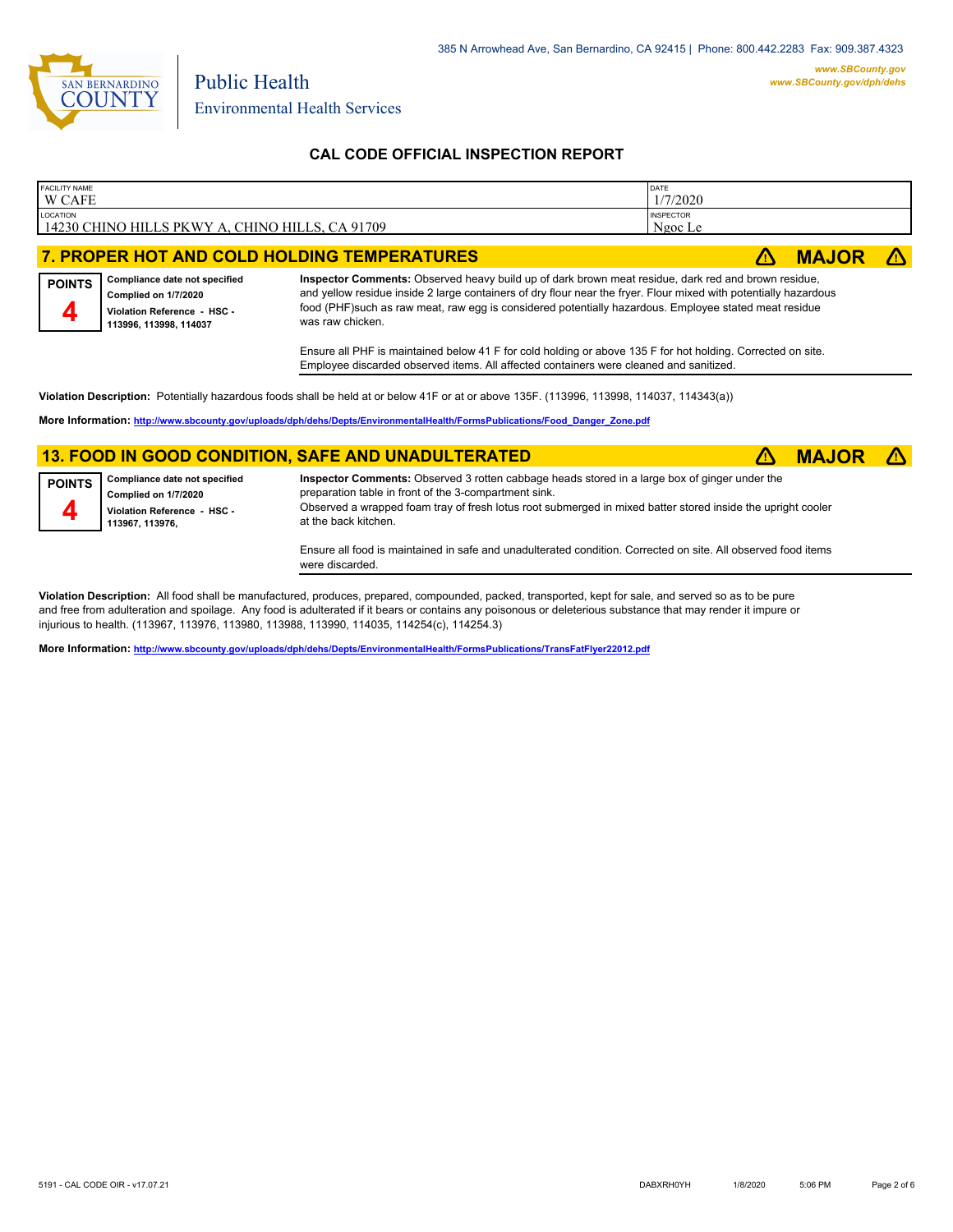

**4**

Environmental Health Services

Public Health

## **CAL CODE OFFICIAL INSPECTION REPORT**

| <b>FACILITY NAME</b><br>W CAFE                                | <b>DATE</b><br>1/7/2020     |              |  |
|---------------------------------------------------------------|-----------------------------|--------------|--|
| LOCATION<br>  14230 CHINO HILLS PKWY A. CHINO HILLS. CA 91709 | <b>INSPECTOR</b><br>Ngoc Le |              |  |
| 7. PROPER HOT AND COLD HOLDING TEMPERATURES                   |                             | <b>MAJOR</b> |  |
|                                                               |                             |              |  |

**Compliance date not specified Complied on 1/7/2020 Violation Reference - HSC - 113996, 113998, 114037 POINTS Inspector Comments:** Observed heavy build up of dark brown meat residue, dark red and brown residue, and yellow residue inside 2 large containers of dry flour near the fryer. Flour mixed with potentially hazardous food (PHF)such as raw meat, raw egg is considered potentially hazardous. Employee stated meat residue was raw chicken.

> Ensure all PHF is maintained below 41 F for cold holding or above 135 F for hot holding. Corrected on site. Employee discarded observed items. All affected containers were cleaned and sanitized.

**Violation Description:** Potentially hazardous foods shall be held at or below 41F or at or above 135F. (113996, 113998, 114037, 114343(a))

**More Information: [http://www.sbcounty.gov/uploads/dph/dehs/Depts/EnvironmentalHealth/FormsPublications/Food\\_Danger\\_Zone.pdf](http://www.sbcounty.gov/uploads/dph/dehs/Depts/EnvironmentalHealth/FormsPublications/Food_Danger_Zone.pdf)**

### **13. FOOD IN GOOD CONDITION, SAFE AND UNADULTERATED** ê**! MAJOR** ê**!**

| <b>POINTS</b> | Compliance date not specified<br>Complied on 1/7/2020<br>Violation Reference - HSC -<br>113967.113976. | Inspector Comments: Observed 3 rotten cabbage heads stored in a large box of ginger under the<br>preparation table in front of the 3-compartment sink.<br>Observed a wrapped foam tray of fresh lotus root submerged in mixed batter stored inside the upright cooler<br>at the back kitchen. |
|---------------|--------------------------------------------------------------------------------------------------------|-----------------------------------------------------------------------------------------------------------------------------------------------------------------------------------------------------------------------------------------------------------------------------------------------|
|               |                                                                                                        |                                                                                                                                                                                                                                                                                               |

Ensure all food is maintained in safe and unadulterated condition. Corrected on site. All observed food items were discarded.

**Violation Description:** All food shall be manufactured, produces, prepared, compounded, packed, transported, kept for sale, and served so as to be pure and free from adulteration and spoilage. Any food is adulterated if it bears or contains any poisonous or deleterious substance that may render it impure or injurious to health. (113967, 113976, 113980, 113988, 113990, 114035, 114254(c), 114254.3)

**More Information: <http://www.sbcounty.gov/uploads/dph/dehs/Depts/EnvironmentalHealth/FormsPublications/TransFatFlyer22012.pdf>**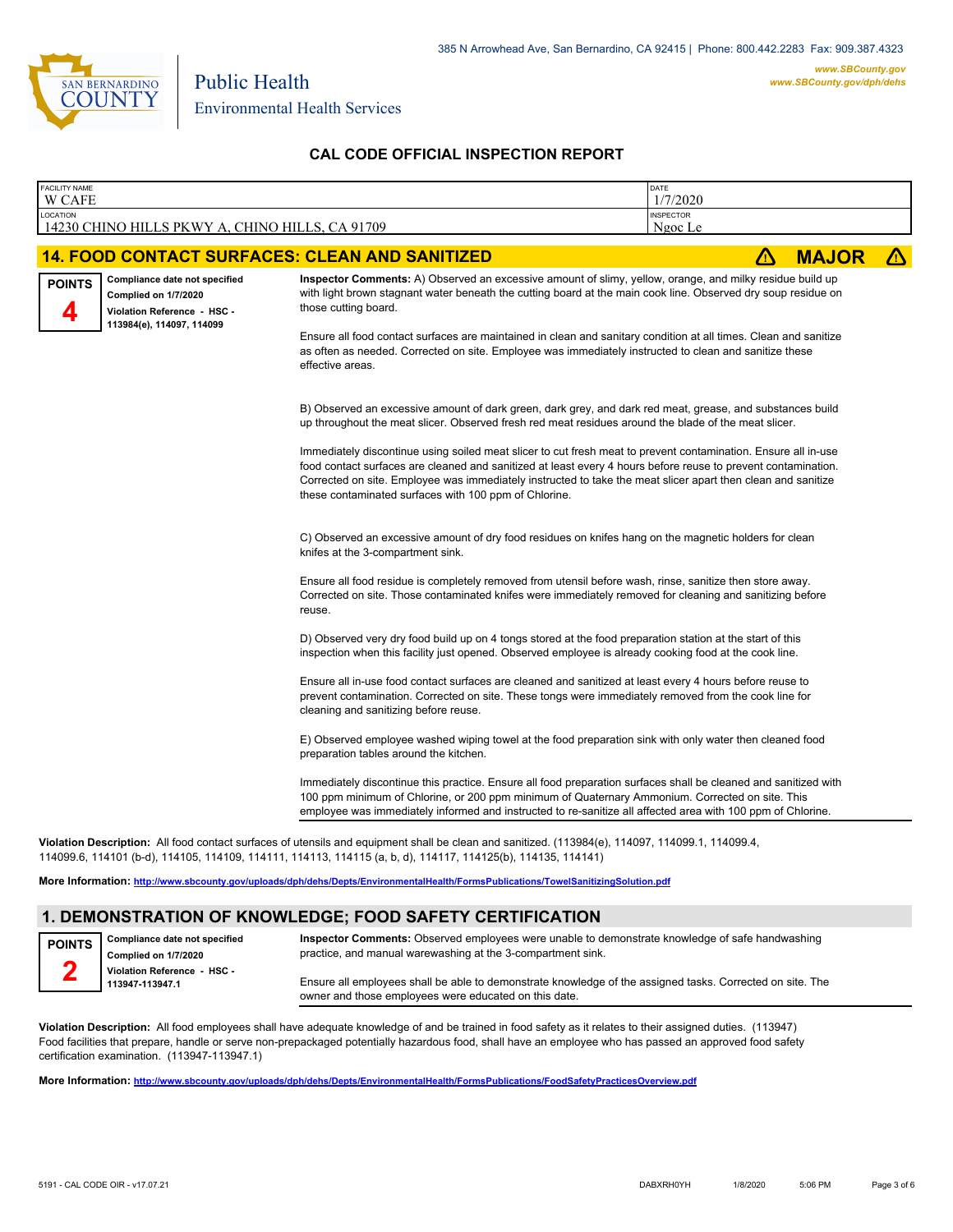

## **CAL CODE OFFICIAL INSPECTION REPORT**

| W CAFE<br>LOCATION<br>14230 CHINO HILLS PKWY A, CHINO HILLS, CA 91709                                                              |                                                                                                                                                                                                                                                                                                                                                                                                                                                                                                                                                                                                                               | <b>INSPECTOR</b><br>Ngoc Le |              |   |
|------------------------------------------------------------------------------------------------------------------------------------|-------------------------------------------------------------------------------------------------------------------------------------------------------------------------------------------------------------------------------------------------------------------------------------------------------------------------------------------------------------------------------------------------------------------------------------------------------------------------------------------------------------------------------------------------------------------------------------------------------------------------------|-----------------------------|--------------|---|
| <b>14. FOOD CONTACT SURFACES: CLEAN AND SANITIZED</b>                                                                              |                                                                                                                                                                                                                                                                                                                                                                                                                                                                                                                                                                                                                               | Δ                           | <b>MAJOR</b> | Δ |
| Compliance date not specified<br><b>POINTS</b><br>Complied on 1/7/2020<br>Violation Reference - HSC -<br>113984(e), 114097, 114099 | Inspector Comments: A) Observed an excessive amount of slimy, yellow, orange, and milky residue build up<br>with light brown stagnant water beneath the cutting board at the main cook line. Observed dry soup residue on<br>those cutting board.<br>Ensure all food contact surfaces are maintained in clean and sanitary condition at all times. Clean and sanitize<br>as often as needed. Corrected on site. Employee was immediately instructed to clean and sanitize these<br>effective areas.                                                                                                                           |                             |              |   |
|                                                                                                                                    | B) Observed an excessive amount of dark green, dark grey, and dark red meat, grease, and substances build<br>up throughout the meat slicer. Observed fresh red meat residues around the blade of the meat slicer.<br>Immediately discontinue using soiled meat slicer to cut fresh meat to prevent contamination. Ensure all in-use<br>food contact surfaces are cleaned and sanitized at least every 4 hours before reuse to prevent contamination.<br>Corrected on site. Employee was immediately instructed to take the meat slicer apart then clean and sanitize<br>these contaminated surfaces with 100 ppm of Chlorine. |                             |              |   |
|                                                                                                                                    | C) Observed an excessive amount of dry food residues on knifes hang on the magnetic holders for clean<br>knifes at the 3-compartment sink.<br>Ensure all food residue is completely removed from utensil before wash, rinse, sanitize then store away.<br>Corrected on site. Those contaminated knifes were immediately removed for cleaning and sanitizing before<br>reuse.                                                                                                                                                                                                                                                  |                             |              |   |
|                                                                                                                                    | D) Observed very dry food build up on 4 tongs stored at the food preparation station at the start of this<br>inspection when this facility just opened. Observed employee is already cooking food at the cook line.<br>Ensure all in-use food contact surfaces are cleaned and sanitized at least every 4 hours before reuse to<br>prevent contamination. Corrected on site. These tongs were immediately removed from the cook line for<br>cleaning and sanitizing before reuse.                                                                                                                                             |                             |              |   |
|                                                                                                                                    | E) Observed employee washed wiping towel at the food preparation sink with only water then cleaned food<br>preparation tables around the kitchen.<br>Immediately discontinue this practice. Ensure all food preparation surfaces shall be cleaned and sanitized with<br>100 ppm minimum of Chlorine, or 200 ppm minimum of Quaternary Ammonium. Corrected on site. This<br>employee was immediately informed and instructed to re-sanitize all affected area with 100 ppm of Chlorine.                                                                                                                                        |                             |              |   |

**Violation Description:** All food contact surfaces of utensils and equipment shall be clean and sanitized. (113984(e), 114097, 114099.1, 114099.4, 114099.6, 114101 (b-d), 114105, 114109, 114111, 114113, 114115 (a, b, d), 114117, 114125(b), 114135, 114141)

**More Information: <http://www.sbcounty.gov/uploads/dph/dehs/Depts/EnvironmentalHealth/FormsPublications/TowelSanitizingSolution.pdf>**

## **1. DEMONSTRATION OF KNOWLEDGE; FOOD SAFETY CERTIFICATION**

**Compliance date not specified Complied on 1/7/2020 Violation Reference - HSC - 113947-113947.1 POINTS 2**

**Inspector Comments:** Observed employees were unable to demonstrate knowledge of safe handwashing practice, and manual warewashing at the 3-compartment sink.

Ensure all employees shall be able to demonstrate knowledge of the assigned tasks. Corrected on site. The owner and those employees were educated on this date.

**Violation Description:** All food employees shall have adequate knowledge of and be trained in food safety as it relates to their assigned duties. (113947) Food facilities that prepare, handle or serve non-prepackaged potentially hazardous food, shall have an employee who has passed an approved food safety certification examination. (113947-113947.1)

**More Information: <http://www.sbcounty.gov/uploads/dph/dehs/Depts/EnvironmentalHealth/FormsPublications/FoodSafetyPracticesOverview.pdf>**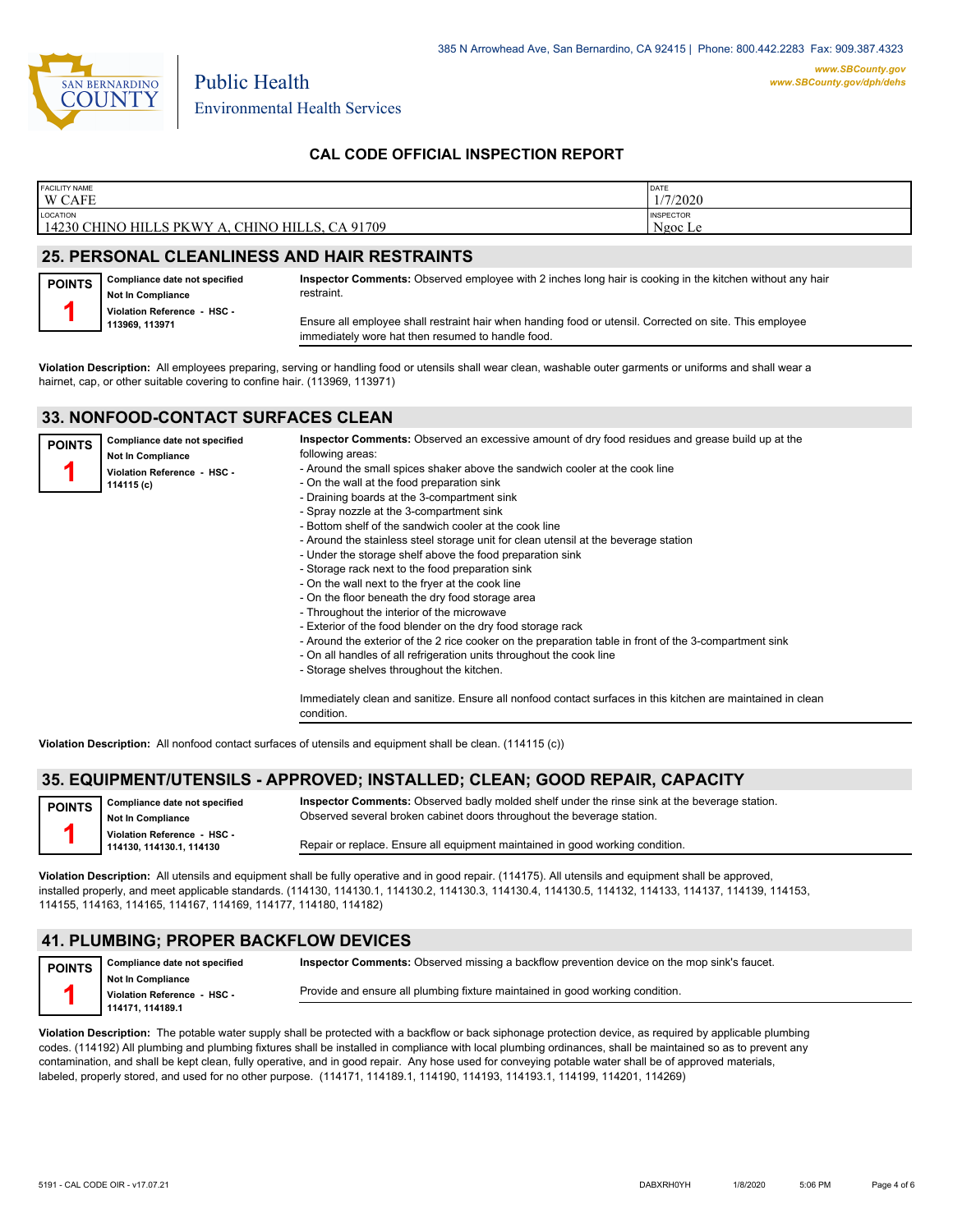

## **CAL CODE OFFICIAL INSPECTION REPORT**

| <b>FACILITY NAME</b>                            | DATE             |
|-------------------------------------------------|------------------|
| <b>W CAFE</b>                                   | 1/7/2020         |
| LOCATION                                        | <b>INSPECTOR</b> |
| 14230 CHINO HILLS PKWY A, CHINO HILLS, CA 91709 | Ngoc Le          |
|                                                 |                  |

### **25. PERSONAL CLEANLINESS AND HAIR RESTRAINTS**

| <b>POINTS</b> | Compliance date not specified<br><b>Not In Compliance</b> | Inspector Comments: Observed employee with 2 inches long hair is cooking in the kitchen without any hair<br>restraint.                                       |
|---------------|-----------------------------------------------------------|--------------------------------------------------------------------------------------------------------------------------------------------------------------|
|               | Violation Reference - HSC -<br>113969, 113971             | Ensure all employee shall restraint hair when handing food or utensil. Corrected on site. This employee<br>immediately wore hat then resumed to handle food. |

**Violation Description:** All employees preparing, serving or handling food or utensils shall wear clean, washable outer garments or uniforms and shall wear a hairnet, cap, or other suitable covering to confine hair. (113969, 113971)

### **33. NONFOOD-CONTACT SURFACES CLEAN**

| <b>POINTS</b> | Compliance date not specified<br><b>Not In Compliance</b><br>Violation Reference - HSC -<br>114115 (c) | Inspector Comments: Observed an excessive amount of dry food residues and grease build up at the<br>following areas:<br>- Around the small spices shaker above the sandwich cooler at the cook line<br>- On the wall at the food preparation sink<br>- Draining boards at the 3-compartment sink<br>- Spray nozzle at the 3-compartment sink<br>- Bottom shelf of the sandwich cooler at the cook line<br>- Around the stainless steel storage unit for clean utensil at the beverage station<br>- Under the storage shelf above the food preparation sink<br>- Storage rack next to the food preparation sink<br>- On the wall next to the fryer at the cook line<br>- On the floor beneath the dry food storage area<br>- Throughout the interior of the microwave<br>- Exterior of the food blender on the dry food storage rack<br>- Around the exterior of the 2 rice cooker on the preparation table in front of the 3-compartment sink<br>- On all handles of all refrigeration units throughout the cook line |
|---------------|--------------------------------------------------------------------------------------------------------|-----------------------------------------------------------------------------------------------------------------------------------------------------------------------------------------------------------------------------------------------------------------------------------------------------------------------------------------------------------------------------------------------------------------------------------------------------------------------------------------------------------------------------------------------------------------------------------------------------------------------------------------------------------------------------------------------------------------------------------------------------------------------------------------------------------------------------------------------------------------------------------------------------------------------------------------------------------------------------------------------------------------------|
|               |                                                                                                        | - Storage shelves throughout the kitchen.<br>Immediately clean and sanitize. Ensure all nonfood contact surfaces in this kitchen are maintained in clean<br>condition.                                                                                                                                                                                                                                                                                                                                                                                                                                                                                                                                                                                                                                                                                                                                                                                                                                                |

**Violation Description:** All nonfood contact surfaces of utensils and equipment shall be clean. (114115 (c))

### **35. EQUIPMENT/UTENSILS - APPROVED; INSTALLED; CLEAN; GOOD REPAIR, CAPACITY**

| <b>POINTS</b> | Compliance date not specified<br><b>Not In Compliance</b> | Inspector Comments: Observed badly molded shelf under the rinse sink at the beverage station.<br>Observed several broken cabinet doors throughout the beverage station. |
|---------------|-----------------------------------------------------------|-------------------------------------------------------------------------------------------------------------------------------------------------------------------------|
|               | Violation Reference - HSC -<br>114130, 114130.1, 114130   | Repair or replace. Ensure all equipment maintained in good working condition.                                                                                           |

**Violation Description:** All utensils and equipment shall be fully operative and in good repair. (114175). All utensils and equipment shall be approved, installed properly, and meet applicable standards. (114130, 114130.1, 114130.2, 114130.3, 114130.4, 114130.5, 114132, 114133, 114137, 114139, 114153, 114155, 114163, 114165, 114167, 114169, 114177, 114180, 114182)

### **41. PLUMBING; PROPER BACKFLOW DEVICES**

| <b>POINTS</b> | Compliance date not specified                    | Inspector Comments: Observed missing a backflow prevention device on the mop sink's faucet. |
|---------------|--------------------------------------------------|---------------------------------------------------------------------------------------------|
|               | Not In Compliance<br>Violation Reference - HSC - | Provide and ensure all plumbing fixture maintained in good working condition.               |
|               | 114171.114189.1                                  |                                                                                             |

**Violation Description:** The potable water supply shall be protected with a backflow or back siphonage protection device, as required by applicable plumbing codes. (114192) All plumbing and plumbing fixtures shall be installed in compliance with local plumbing ordinances, shall be maintained so as to prevent any contamination, and shall be kept clean, fully operative, and in good repair. Any hose used for conveying potable water shall be of approved materials, labeled, properly stored, and used for no other purpose. (114171, 114189.1, 114190, 114193, 114193.1, 114199, 114201, 114269)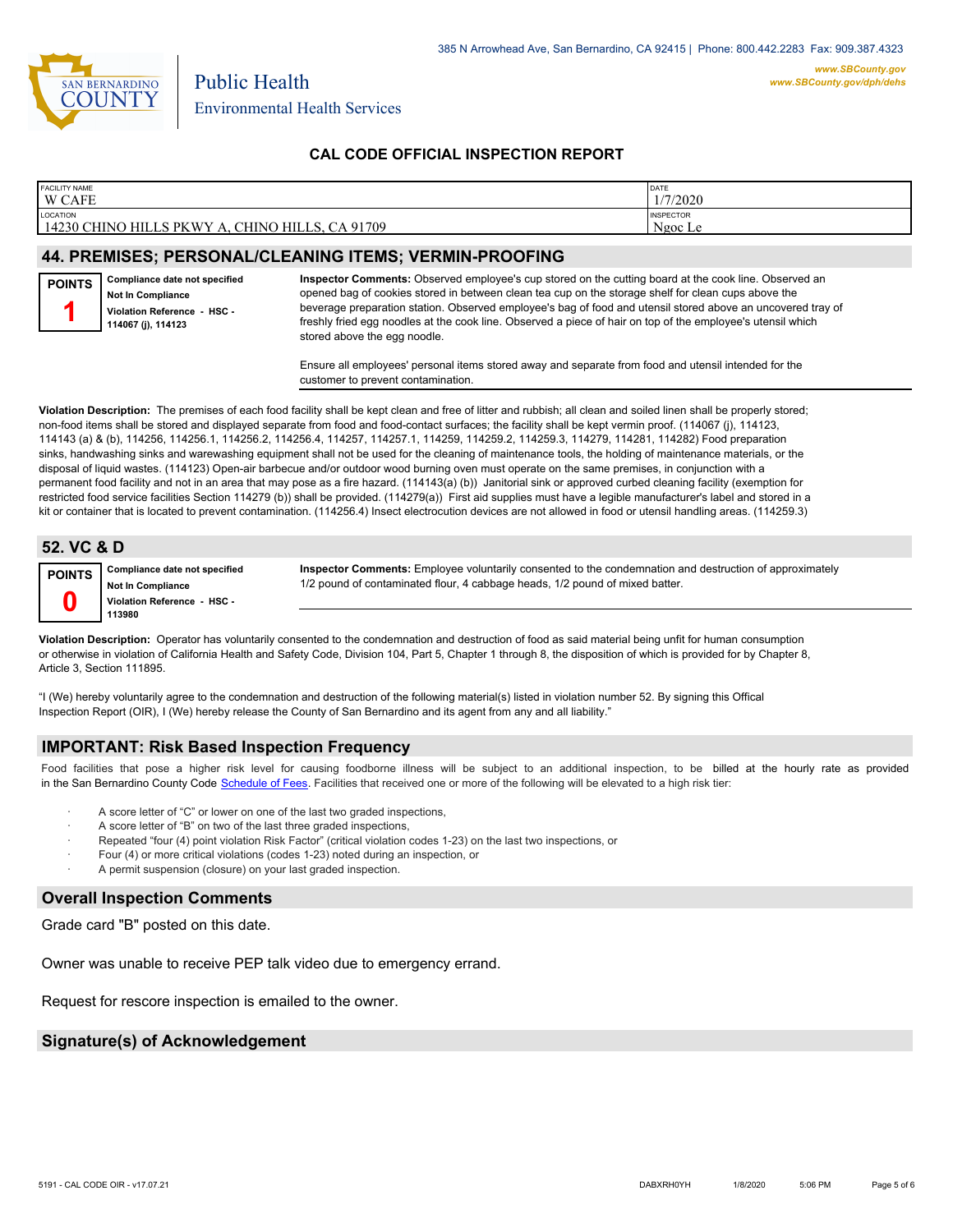

## **CAL CODE OFFICIAL INSPECTION REPORT**

| <b>FACILITY NAME</b>                                                        | DATE                        |
|-----------------------------------------------------------------------------|-----------------------------|
| <b>W CAFE</b>                                                               | /7/2020                     |
| LOCATION<br>14230 CHINO HILL<br><b>PKWY</b><br>`HILLS.<br>A 91709:<br>CHINO | <b>INSPECTOR</b><br>Ngoc Le |

## **44. PREMISES; PERSONAL/CLEANING ITEMS; VERMIN-PROOFING**

**Compliance date not specified Not In Compliance Violation Reference - HSC - 114067 (j), 114123 POINTS 1**

**Inspector Comments:** Observed employee's cup stored on the cutting board at the cook line. Observed an opened bag of cookies stored in between clean tea cup on the storage shelf for clean cups above the beverage preparation station. Observed employee's bag of food and utensil stored above an uncovered tray of freshly fried egg noodles at the cook line. Observed a piece of hair on top of the employee's utensil which stored above the egg noodle.

Ensure all employees' personal items stored away and separate from food and utensil intended for the customer to prevent contamination.

**Violation Description:** The premises of each food facility shall be kept clean and free of litter and rubbish; all clean and soiled linen shall be properly stored; non-food items shall be stored and displayed separate from food and food-contact surfaces; the facility shall be kept vermin proof. (114067 (j), 114123, 114143 (a) & (b), 114256, 114256.1, 114256.2, 114256.4, 114257, 114257.1, 114259, 114259.2, 114259.3, 114279, 114281, 114282) Food preparation sinks, handwashing sinks and warewashing equipment shall not be used for the cleaning of maintenance tools, the holding of maintenance materials, or the disposal of liquid wastes. (114123) Open-air barbecue and/or outdoor wood burning oven must operate on the same premises, in conjunction with a permanent food facility and not in an area that may pose as a fire hazard. (114143(a) (b)) Janitorial sink or approved curbed cleaning facility (exemption for restricted food service facilities Section 114279 (b)) shall be provided. (114279(a)) First aid supplies must have a legible manufacturer's label and stored in a kit or container that is located to prevent contamination. (114256.4) Insect electrocution devices are not allowed in food or utensil handling areas. (114259.3)

## **52. VC & D**

Article 3, Section 111895.

**Compliance date not specified Not In Compliance POINTS**

**Violation Reference - HSC -** 

**Inspector Comments:** Employee voluntarily consented to the condemnation and destruction of approximately 1/2 pound of contaminated flour, 4 cabbage heads, 1/2 pound of mixed batter.

**113980 0 Violation Description:** Operator has voluntarily consented to the condemnation and destruction of food as said material being unfit for human consumption or otherwise in violation of California Health and Safety Code, Division 104, Part 5, Chapter 1 through 8, the disposition of which is provided for by Chapter 8,

"I (We) hereby voluntarily agree to the condemnation and destruction of the following material(s) listed in violation number 52. By signing this Offical Inspection Report (OIR), I (We) hereby release the County of San Bernardino and its agent from any and all liability."

#### **IMPORTANT: Risk Based Inspection Frequency**

Food facilities that pose a higher risk level for causing foodborne illness will be subject to an additional inspection, to be billed at the hourly rate as provided in the San Bernardino County Code S[chedule of Fees. Facilitie](http://www.amlegal.com/nxt/gateway.dll/California/sanbernardinocounty_ca/title1governmentandadministration/division6countyfees/chapter2scheduleoffees?f=templates$fn=default.htm$3.0$vid=amlegal:sanbernardinocounty_ca$anc=JD_16.0213B)s that received one or more of the following will be elevated to a high risk tier:

- A score letter of "C" or lower on one of the last two graded inspections,
- A score letter of "B" on two of the last three graded inspections,
- Repeated "four (4) point violation Risk Factor" (critical violation codes 1-23) on the last two inspections, or
- · Four (4) or more critical violations (codes 1-23) noted during an inspection, or
- A permit suspension (closure) on your last graded inspection.

#### **Overall Inspection Comments**

Grade card "B" posted on this date.

Owner was unable to receive PEP talk video due to emergency errand.

Request for rescore inspection is emailed to the owner.

### **Signature(s) of Acknowledgement**